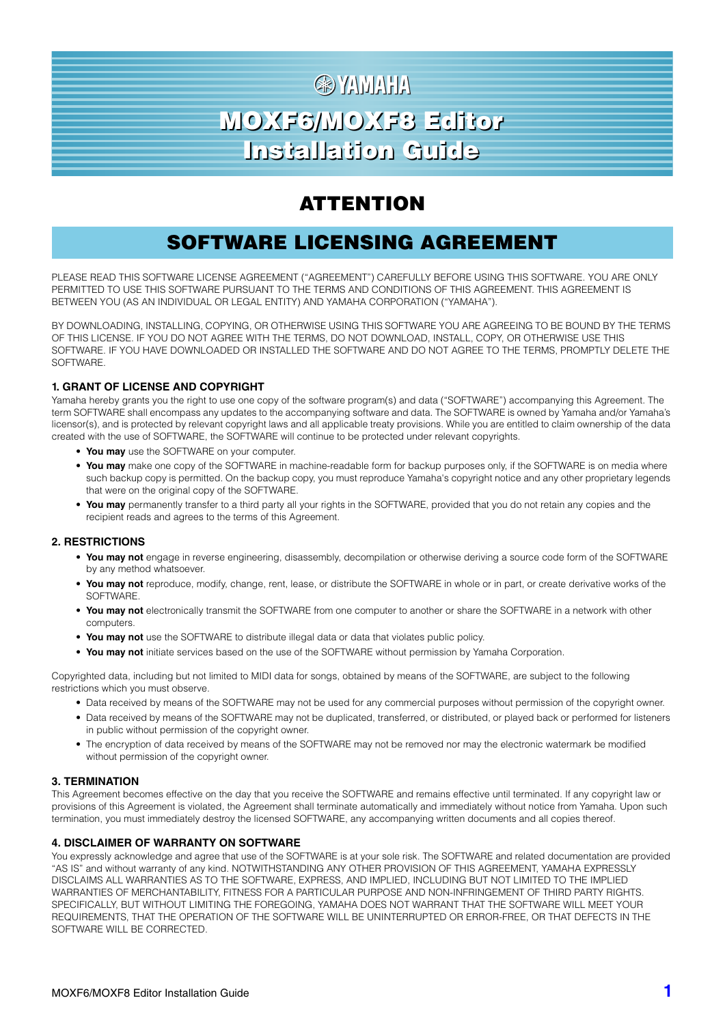# **图 YAMAHA** MOXF6/MOXF8 Editor MOXF6/MOXF8 Editor Installation Guide Installation Guide

# ATTENTION

# SOFTWARE LICENSING AGREEMENT

PLEASE READ THIS SOFTWARE LICENSE AGREEMENT ("AGREEMENT") CAREFULLY BEFORE USING THIS SOFTWARE. YOU ARE ONLY PERMITTED TO USE THIS SOFTWARE PURSUANT TO THE TERMS AND CONDITIONS OF THIS AGREEMENT. THIS AGREEMENT IS BETWEEN YOU (AS AN INDIVIDUAL OR LEGAL ENTITY) AND YAMAHA CORPORATION ("YAMAHA").

BY DOWNLOADING, INSTALLING, COPYING, OR OTHERWISE USING THIS SOFTWARE YOU ARE AGREEING TO BE BOUND BY THE TERMS OF THIS LICENSE. IF YOU DO NOT AGREE WITH THE TERMS, DO NOT DOWNLOAD, INSTALL, COPY, OR OTHERWISE USE THIS SOFTWARE. IF YOU HAVE DOWNLOADED OR INSTALLED THE SOFTWARE AND DO NOT AGREE TO THE TERMS, PROMPTLY DELETE THE **SOFTWARE** 

#### **1. GRANT OF LICENSE AND COPYRIGHT**

Yamaha hereby grants you the right to use one copy of the software program(s) and data ("SOFTWARE") accompanying this Agreement. The term SOFTWARE shall encompass any updates to the accompanying software and data. The SOFTWARE is owned by Yamaha and/or Yamaha's licensor(s), and is protected by relevant copyright laws and all applicable treaty provisions. While you are entitled to claim ownership of the data created with the use of SOFTWARE, the SOFTWARE will continue to be protected under relevant copyrights.

- **You may** use the SOFTWARE on your computer.
- **You may** make one copy of the SOFTWARE in machine-readable form for backup purposes only, if the SOFTWARE is on media where such backup copy is permitted. On the backup copy, you must reproduce Yamaha's copyright notice and any other proprietary legends that were on the original copy of the SOFTWARE.
- **You may** permanently transfer to a third party all your rights in the SOFTWARE, provided that you do not retain any copies and the recipient reads and agrees to the terms of this Agreement.

#### **2. RESTRICTIONS**

- **You may not** engage in reverse engineering, disassembly, decompilation or otherwise deriving a source code form of the SOFTWARE by any method whatsoever.
- **You may not** reproduce, modify, change, rent, lease, or distribute the SOFTWARE in whole or in part, or create derivative works of the SOFTWARE.
- **You may not** electronically transmit the SOFTWARE from one computer to another or share the SOFTWARE in a network with other computers.
- **You may not** use the SOFTWARE to distribute illegal data or data that violates public policy.
- **You may not** initiate services based on the use of the SOFTWARE without permission by Yamaha Corporation.

Copyrighted data, including but not limited to MIDI data for songs, obtained by means of the SOFTWARE, are subject to the following restrictions which you must observe.

- Data received by means of the SOFTWARE may not be used for any commercial purposes without permission of the copyright owner.
- Data received by means of the SOFTWARE may not be duplicated, transferred, or distributed, or played back or performed for listeners in public without permission of the copyright owner.
- The encryption of data received by means of the SOFTWARE may not be removed nor may the electronic watermark be modified without permission of the copyright owner.

#### **3. TERMINATION**

This Agreement becomes effective on the day that you receive the SOFTWARE and remains effective until terminated. If any copyright law or provisions of this Agreement is violated, the Agreement shall terminate automatically and immediately without notice from Yamaha. Upon such termination, you must immediately destroy the licensed SOFTWARE, any accompanying written documents and all copies thereof.

#### **4. DISCLAIMER OF WARRANTY ON SOFTWARE**

You expressly acknowledge and agree that use of the SOFTWARE is at your sole risk. The SOFTWARE and related documentation are provided "AS IS" and without warranty of any kind. NOTWITHSTANDING ANY OTHER PROVISION OF THIS AGREEMENT, YAMAHA EXPRESSLY DISCLAIMS ALL WARRANTIES AS TO THE SOFTWARE, EXPRESS, AND IMPLIED, INCLUDING BUT NOT LIMITED TO THE IMPLIED WARRANTIES OF MERCHANTABILITY, FITNESS FOR A PARTICULAR PURPOSE AND NON-INFRINGEMENT OF THIRD PARTY RIGHTS. SPECIFICALLY, BUT WITHOUT LIMITING THE FOREGOING, YAMAHA DOES NOT WARRANT THAT THE SOFTWARE WILL MEET YOUR REQUIREMENTS, THAT THE OPERATION OF THE SOFTWARE WILL BE UNINTERRUPTED OR ERROR-FREE, OR THAT DEFECTS IN THE SOFTWARE WILL BE CORRECTED.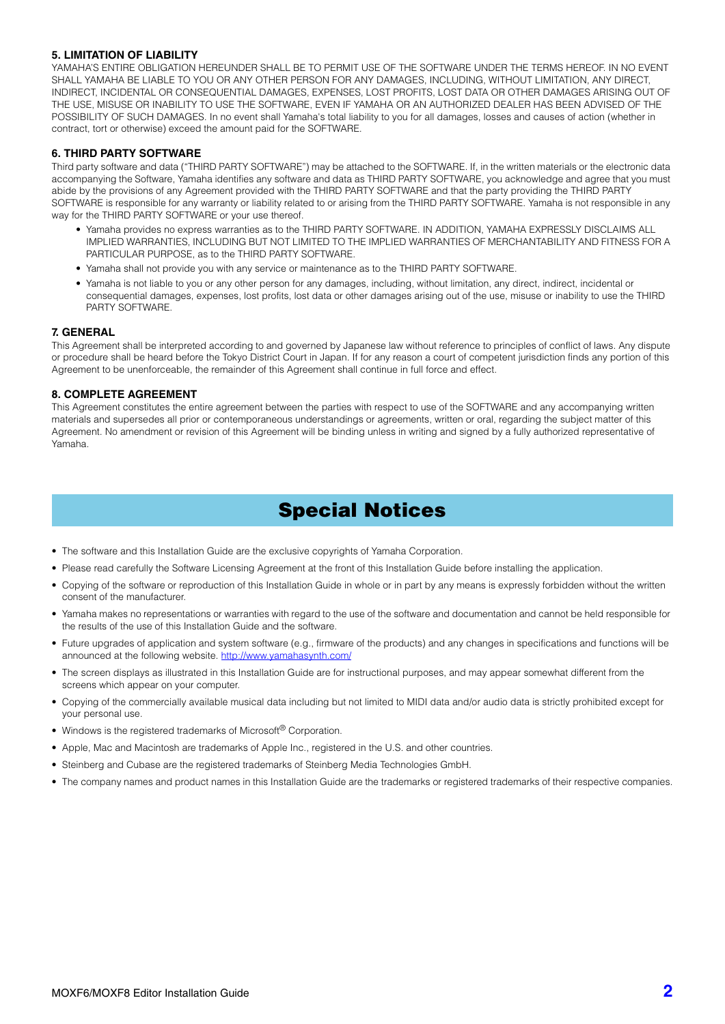#### **5. LIMITATION OF LIABILITY**

YAMAHA'S ENTIRE OBLIGATION HEREUNDER SHALL BE TO PERMIT USE OF THE SOFTWARE UNDER THE TERMS HEREOF. IN NO EVENT SHALL YAMAHA BE LIABLE TO YOU OR ANY OTHER PERSON FOR ANY DAMAGES, INCLUDING, WITHOUT LIMITATION, ANY DIRECT, INDIRECT, INCIDENTAL OR CONSEQUENTIAL DAMAGES, EXPENSES, LOST PROFITS, LOST DATA OR OTHER DAMAGES ARISING OUT OF THE USE, MISUSE OR INABILITY TO USE THE SOFTWARE, EVEN IF YAMAHA OR AN AUTHORIZED DEALER HAS BEEN ADVISED OF THE POSSIBILITY OF SUCH DAMAGES. In no event shall Yamaha's total liability to you for all damages, losses and causes of action (whether in contract, tort or otherwise) exceed the amount paid for the SOFTWARE.

#### **6. THIRD PARTY SOFTWARE**

Third party software and data ("THIRD PARTY SOFTWARE") may be attached to the SOFTWARE. If, in the written materials or the electronic data accompanying the Software, Yamaha identifies any software and data as THIRD PARTY SOFTWARE, you acknowledge and agree that you must abide by the provisions of any Agreement provided with the THIRD PARTY SOFTWARE and that the party providing the THIRD PARTY SOFTWARE is responsible for any warranty or liability related to or arising from the THIRD PARTY SOFTWARE. Yamaha is not responsible in any way for the THIRD PARTY SOFTWARE or your use thereof.

- Yamaha provides no express warranties as to the THIRD PARTY SOFTWARE. IN ADDITION, YAMAHA EXPRESSLY DISCLAIMS ALL IMPLIED WARRANTIES, INCLUDING BUT NOT LIMITED TO THE IMPLIED WARRANTIES OF MERCHANTABILITY AND FITNESS FOR A PARTICULAR PURPOSE, as to the THIRD PARTY SOFTWARE.
- Yamaha shall not provide you with any service or maintenance as to the THIRD PARTY SOFTWARE.
- Yamaha is not liable to you or any other person for any damages, including, without limitation, any direct, indirect, incidental or consequential damages, expenses, lost profits, lost data or other damages arising out of the use, misuse or inability to use the THIRD PARTY SOFTWARE.

#### **7. GENERAL**

This Agreement shall be interpreted according to and governed by Japanese law without reference to principles of conflict of laws. Any dispute or procedure shall be heard before the Tokyo District Court in Japan. If for any reason a court of competent jurisdiction finds any portion of this Agreement to be unenforceable, the remainder of this Agreement shall continue in full force and effect.

#### **8. COMPLETE AGREEMENT**

This Agreement constitutes the entire agreement between the parties with respect to use of the SOFTWARE and any accompanying written materials and supersedes all prior or contemporaneous understandings or agreements, written or oral, regarding the subject matter of this Agreement. No amendment or revision of this Agreement will be binding unless in writing and signed by a fully authorized representative of Yamaha.

# Special Notices

- The software and this Installation Guide are the exclusive copyrights of Yamaha Corporation.
- Please read carefully the Software Licensing Agreement at the front of this Installation Guide before installing the application.
- Copying of the software or reproduction of this Installation Guide in whole or in part by any means is expressly forbidden without the written consent of the manufacturer.
- Yamaha makes no representations or warranties with regard to the use of the software and documentation and cannot be held responsible for the results of the use of this Installation Guide and the software.
- Future upgrades of application and system software (e.g., firmware of the products) and any changes in specifications and functions will be announced at the following website. http://www.yamahasynth.com/
- The screen displays as illustrated in this Installation Guide are for instructional purposes, and may appear somewhat different from the screens which appear on your computer.
- Copying of the commercially available musical data including but not limited to MIDI data and/or audio data is strictly prohibited except for your personal use.
- Windows is the registered trademarks of Microsoft<sup>®</sup> Corporation.
- Apple, Mac and Macintosh are trademarks of Apple Inc., registered in the U.S. and other countries.
- Steinberg and Cubase are the registered trademarks of Steinberg Media Technologies GmbH.
- The company names and product names in this Installation Guide are the trademarks or registered trademarks of their respective companies.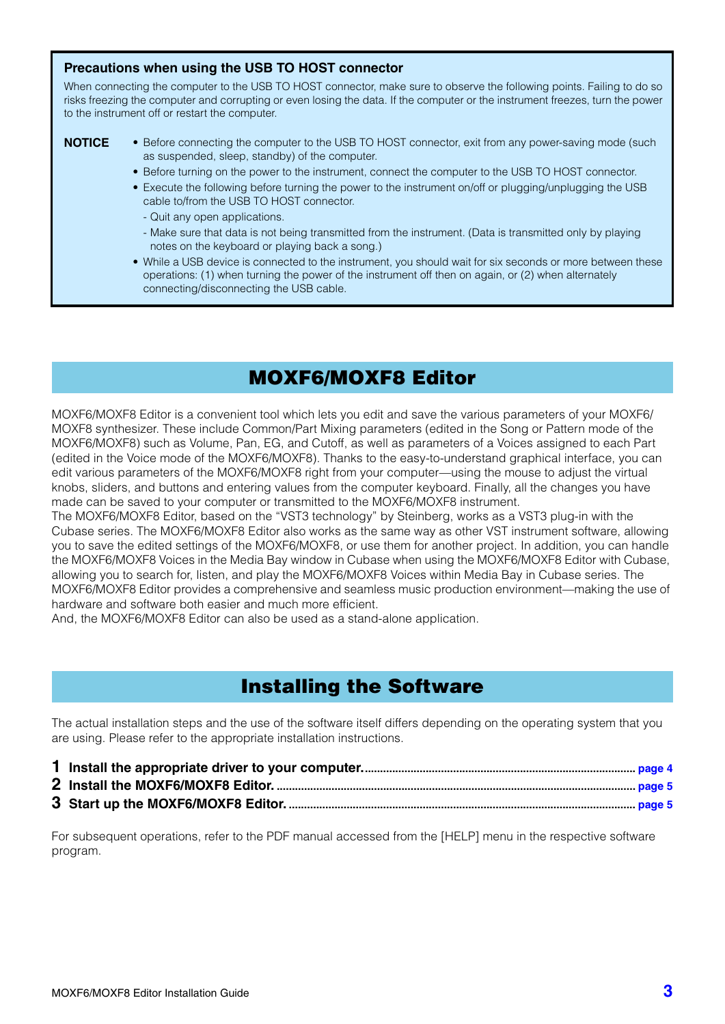### **Precautions when using the USB TO HOST connector**

When connecting the computer to the USB TO HOST connector, make sure to observe the following points. Failing to do so risks freezing the computer and corrupting or even losing the data. If the computer or the instrument freezes, turn the power to the instrument off or restart the computer.

### **NOTICE**

- Before connecting the computer to the USB TO HOST connector, exit from any power-saving mode (such as suspended, sleep, standby) of the computer.
	- Before turning on the power to the instrument, connect the computer to the USB TO HOST connector.
	- Execute the following before turning the power to the instrument on/off or plugging/unplugging the USB cable to/from the USB TO HOST connector.
		- Quit any open applications.
		- Make sure that data is not being transmitted from the instrument. (Data is transmitted only by playing notes on the keyboard or playing back a song.)
	- While a USB device is connected to the instrument, you should wait for six seconds or more between these operations: (1) when turning the power of the instrument off then on again, or (2) when alternately connecting/disconnecting the USB cable.

# MOXF6/MOXF8 Editor

MOXF6/MOXF8 Editor is a convenient tool which lets you edit and save the various parameters of your MOXF6/ MOXF8 synthesizer. These include Common/Part Mixing parameters (edited in the Song or Pattern mode of the MOXF6/MOXF8) such as Volume, Pan, EG, and Cutoff, as well as parameters of a Voices assigned to each Part (edited in the Voice mode of the MOXF6/MOXF8). Thanks to the easy-to-understand graphical interface, you can edit various parameters of the MOXF6/MOXF8 right from your computer—using the mouse to adjust the virtual knobs, sliders, and buttons and entering values from the computer keyboard. Finally, all the changes you have made can be saved to your computer or transmitted to the MOXF6/MOXF8 instrument.

The MOXF6/MOXF8 Editor, based on the "VST3 technology" by Steinberg, works as a VST3 plug-in with the Cubase series. The MOXF6/MOXF8 Editor also works as the same way as other VST instrument software, allowing you to save the edited settings of the MOXF6/MOXF8, or use them for another project. In addition, you can handle the MOXF6/MOXF8 Voices in the Media Bay window in Cubase when using the MOXF6/MOXF8 Editor with Cubase, allowing you to search for, listen, and play the MOXF6/MOXF8 Voices within Media Bay in Cubase series. The MOXF6/MOXF8 Editor provides a comprehensive and seamless music production environment—making the use of hardware and software both easier and much more efficient.

And, the MOXF6/MOXF8 Editor can also be used as a stand-alone application.

# Installing the Software

The actual installation steps and the use of the software itself differs depending on the operating system that you are using. Please refer to the appropriate installation instructions.

- **1 Install the appropriate driver to your computer.......................................................................................... [page 4](#page-3-0)**
- **2 Install the MOXF6/MOXF8 Editor. ...................................................................................................................... [page 5](#page-4-1)**
- **3 Start up the MOXF6/MOXF8 Editor. .................................................................................................................. [page 5](#page-4-0)**

For subsequent operations, refer to the PDF manual accessed from the [HELP] menu in the respective software program.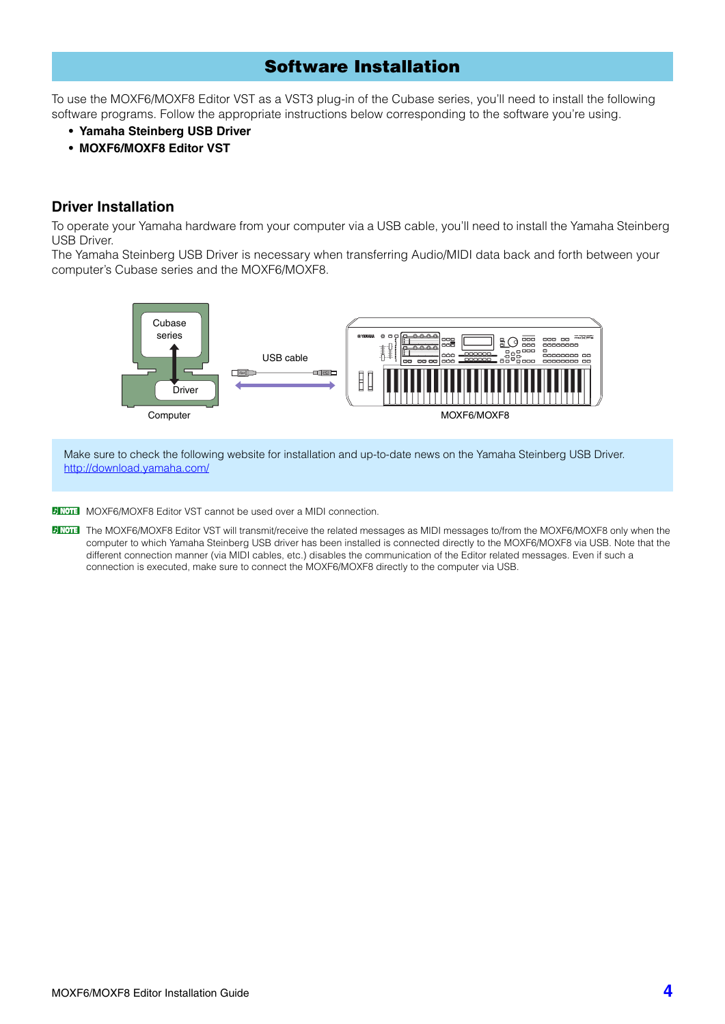# Software Installation

To use the MOXF6/MOXF8 Editor VST as a VST3 plug-in of the Cubase series, you'll need to install the following software programs. Follow the appropriate instructions below corresponding to the software you're using.

- **Yamaha Steinberg USB Driver**
- **MOXF6/MOXF8 Editor VST**

### <span id="page-3-0"></span>**Driver Installation**

To operate your Yamaha hardware from your computer via a USB cable, you'll need to install the Yamaha Steinberg USB Driver.

The Yamaha Steinberg USB Driver is necessary when transferring Audio/MIDI data back and forth between your computer's Cubase series and the MOXF6/MOXF8.



Make sure to check the following website for installation and up-to-date news on the Yamaha Steinberg USB Driver. http://download.yamaha.com/

**DIMOTE** MOXF6/MOXF8 Editor VST cannot be used over a MIDI connection.

**DITOTE** The MOXF6/MOXF8 Editor VST will transmit/receive the related messages as MIDI messages to/from the MOXF6/MOXF8 only when the computer to which Yamaha Steinberg USB driver has been installed is connected directly to the MOXF6/MOXF8 via USB. Note that the different connection manner (via MIDI cables, etc.) disables the communication of the Editor related messages. Even if such a connection is executed, make sure to connect the MOXF6/MOXF8 directly to the computer via USB.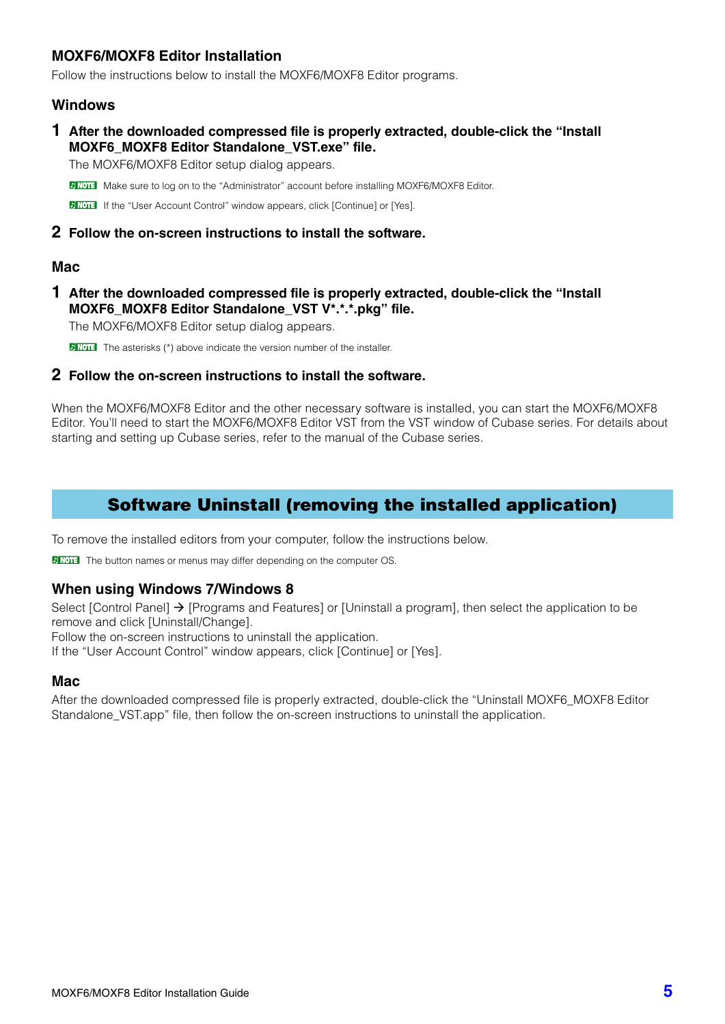## <span id="page-4-1"></span>**MOXF6/MOXF8 Editor Installation**

Follow the instructions below to install the MOXF6/MOXF8 Editor programs.

### **Windows**

**1 After the downloaded compressed file is properly extracted, double-click the "Install MOXF6\_MOXF8 Editor Standalone\_VST.exe" file.**

The MOXF6/MOXF8 Editor setup dialog appears.

**DINGTE** Make sure to log on to the "Administrator" account before installing MOXF6/MOXF8 Editor.

**DINCTE** If the "User Account Control" window appears, click [Continue] or [Yes].

### **2 Follow the on-screen instructions to install the software.**

### **Mac**

**1 After the downloaded compressed file is properly extracted, double-click the "Install MOXF6\_MOXF8 Editor Standalone\_VST V\*.\*.\*.pkg" file.**

The MOXF6/MOXF8 Editor setup dialog appears.

**DNOTE** The asterisks (\*) above indicate the version number of the installer.

### **2 Follow the on-screen instructions to install the software.**

<span id="page-4-0"></span>When the MOXF6/MOXF8 Editor and the other necessary software is installed, you can start the MOXF6/MOXF8 Editor. You'll need to start the MOXF6/MOXF8 Editor VST from the VST window of Cubase series. For details about starting and setting up Cubase series, refer to the manual of the Cubase series.

# Software Uninstall (removing the installed application)

To remove the installed editors from your computer, follow the instructions below.

**DINOTE** The button names or menus may differ depending on the computer OS.

### **When using Windows 7/Windows 8**

Select [Control Panel]  $\rightarrow$  [Programs and Features] or [Uninstall a program], then select the application to be remove and click [Uninstall/Change].

Follow the on-screen instructions to uninstall the application.

If the "User Account Control" window appears, click [Continue] or [Yes].

### **Mac**

After the downloaded compressed file is properly extracted, double-click the "Uninstall MOXF6\_MOXF8 Editor Standalone VST.app" file, then follow the on-screen instructions to uninstall the application.